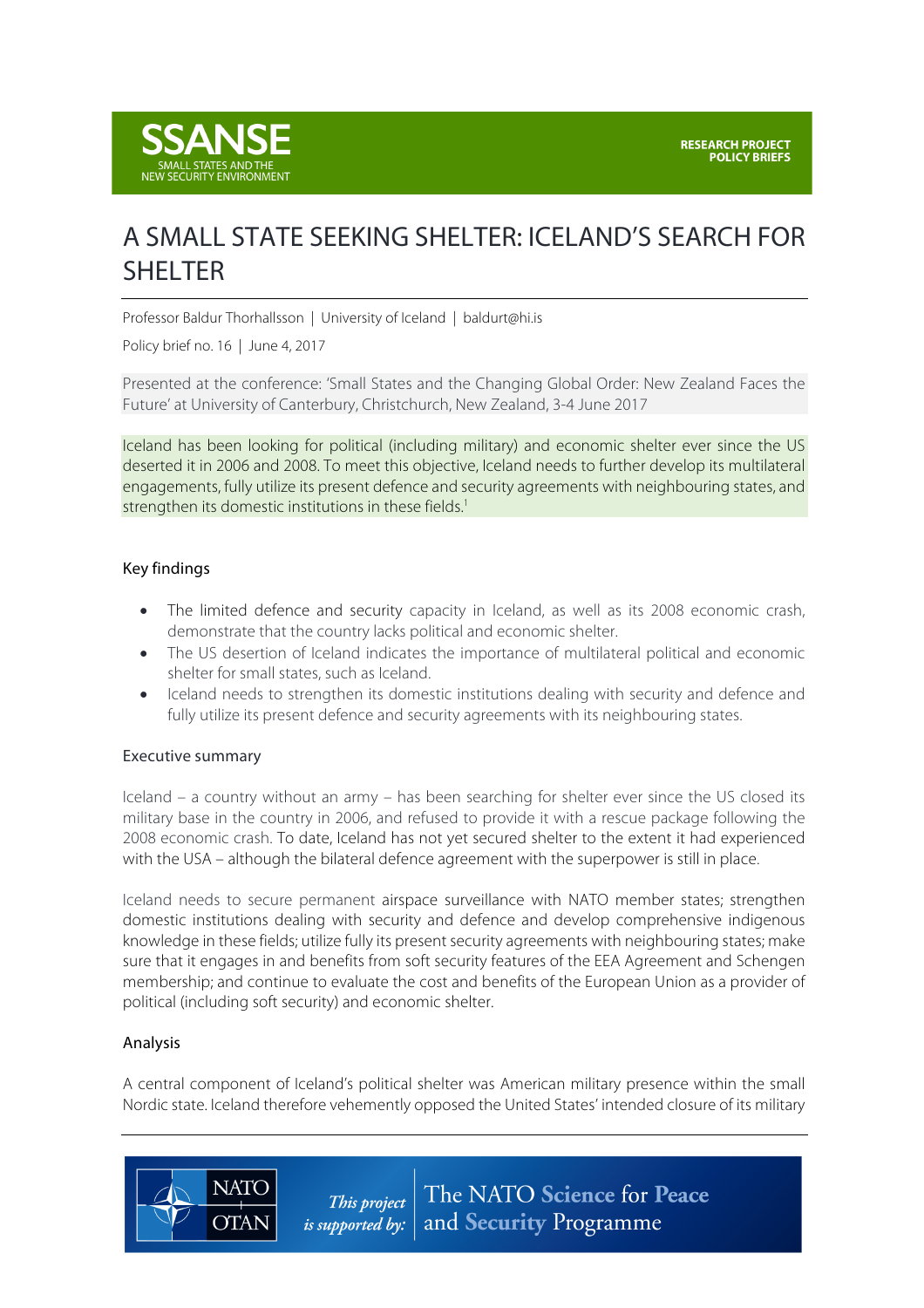

# A SMALL STATE SEEKING SHELTER: ICELAND'S SEARCH FOR SHELTER

Professor Baldur Thorhallsson | University of Iceland | baldurt@hi.is

Policy brief no. 16 | June 4, 2017

Presented at the conference: 'Small States and the Changing Global Order: New Zealand Faces the Future' at University of Canterbury, Christchurch, New Zealand, 3-4 June 2017

Iceland has been looking for political (including military) and economic shelter ever since the US deserted it in 2006 and 2008. To meet this objective, Iceland needs to further develop its multilateral engagements, fully utilize its present defence and security agreements with neighbouring states, and strengthen its domestic institutions in these fields.<sup>1</sup>

### Key findings

- The limited defence and security capacity in Iceland, as well as its 2008 economic crash, demonstrate that the country lacks political and economic shelter.
- The US desertion of Iceland indicates the importance of multilateral political and economic shelter for small states, such as Iceland.
- Iceland needs to strengthen its domestic institutions dealing with security and defence and fully utilize its present defence and security agreements with its neighbouring states.

#### Executive summary

Iceland – a country without an army – has been searching for shelter ever since the US closed its military base in the country in 2006, and refused to provide it with a rescue package following the 2008 economic crash. To date, Iceland has not yet secured shelter to the extent it had experienced with the USA – although the bilateral defence agreement with the superpower is still in place.

Iceland needs to secure permanent airspace surveillance with NATO member states; strengthen domestic institutions dealing with security and defence and develop comprehensive indigenous knowledge in these fields; utilize fully its present security agreements with neighbouring states; make sure that it engages in and benefits from soft security features of the EEA Agreement and Schengen membership; and continue to evaluate the cost and benefits of the European Union as a provider of political (including soft security) and economic shelter.

#### Analysis

**NATO** 

**OTAN** 

A central component of Iceland's political shelter was American military presence within the small Nordic state. Iceland therefore vehemently opposed the United States' intended closure of its military

> The NATO Science for Peace This project and Security Programme *is supported by:*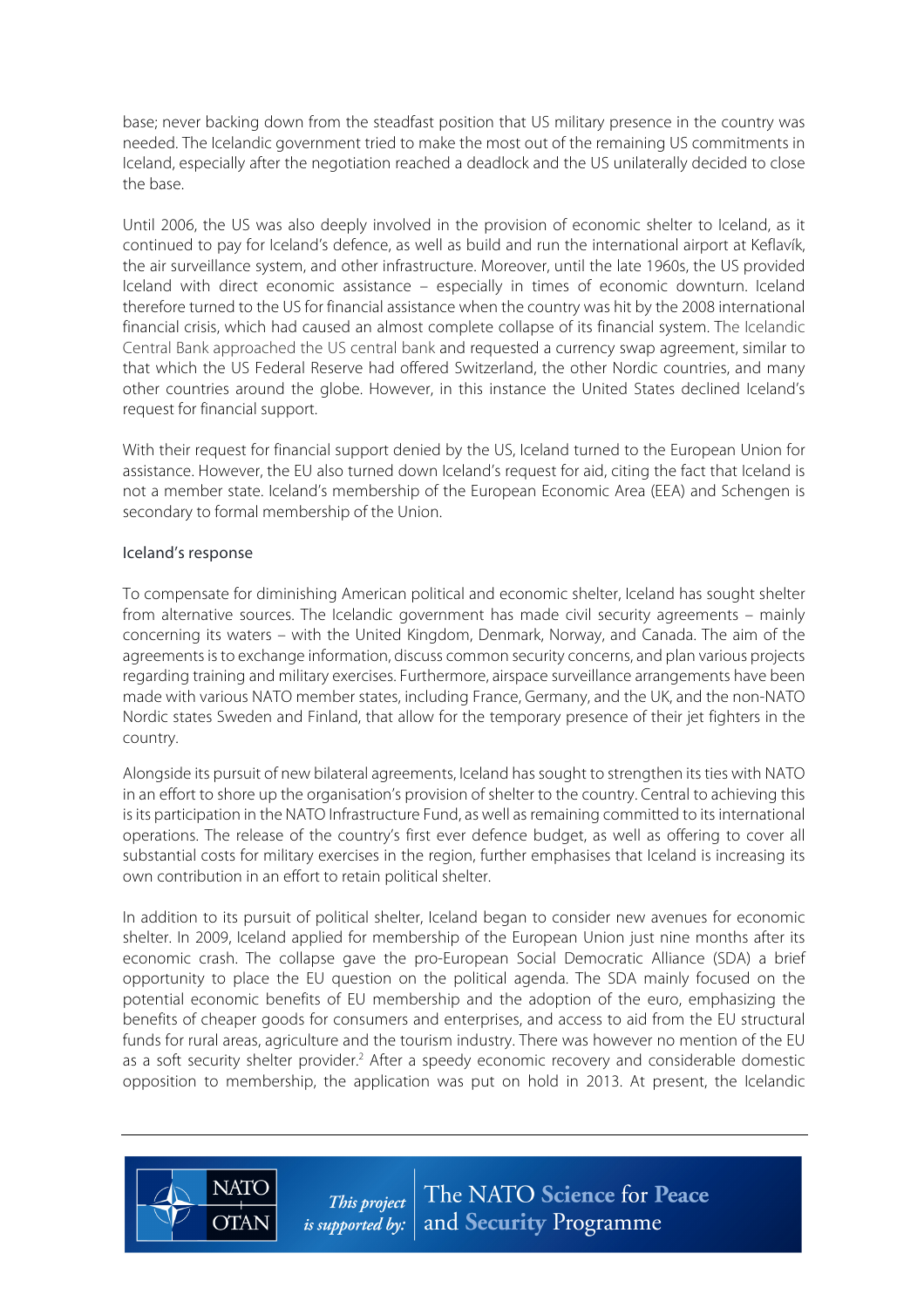base; never backing down from the steadfast position that US military presence in the country was needed. The Icelandic government tried to make the most out of the remaining US commitments in Iceland, especially after the negotiation reached a deadlock and the US unilaterally decided to close the base.

Until 2006, the US was also deeply involved in the provision of economic shelter to Iceland, as it continued to pay for Iceland's defence, as well as build and run the international airport at Keflavík, the air surveillance system, and other infrastructure. Moreover, until the late 1960s, the US provided Iceland with direct economic assistance – especially in times of economic downturn. Iceland therefore turned to the US for financial assistance when the country was hit by the 2008 international financial crisis, which had caused an almost complete collapse of its financial system. The Icelandic Central Bank approached the US central bank and requested a currency swap agreement, similar to that which the US Federal Reserve had offered Switzerland, the other Nordic countries, and many other countries around the globe. However, in this instance the United States declined Iceland's request for financial support.

With their request for financial support denied by the US, Iceland turned to the European Union for assistance. However, the EU also turned down Iceland's request for aid, citing the fact that Iceland is not a member state. Iceland's membership of the European Economic Area (EEA) and Schengen is secondary to formal membership of the Union.

## Iceland's response

**NATC** 

**OTAN** 

To compensate for diminishing American political and economic shelter, Iceland has sought shelter from alternative sources. The Icelandic government has made civil security agreements – mainly concerning its waters – with the United Kingdom, Denmark, Norway, and Canada. The aim of the agreements is to exchange information, discuss common security concerns, and plan various projects regarding training and military exercises. Furthermore, airspace surveillance arrangements have been made with various NATO member states, including France, Germany, and the UK, and the non-NATO Nordic states Sweden and Finland, that allow for the temporary presence of their jet fighters in the country.

Alongside its pursuit of new bilateral agreements, Iceland has sought to strengthen its ties with NATO in an effort to shore up the organisation's provision of shelter to the country. Central to achieving this is its participation in the NATO Infrastructure Fund, as well as remaining committed to its international operations. The release of the country's first ever defence budget, as well as offering to cover all substantial costs for military exercises in the region, further emphasises that Iceland is increasing its own contribution in an effort to retain political shelter.

In addition to its pursuit of political shelter, Iceland began to consider new avenues for economic shelter. In 2009, Iceland applied for membership of the European Union just nine months after its economic crash. The collapse gave the pro-European Social Democratic Alliance (SDA) a brief opportunity to place the EU question on the political agenda. The SDA mainly focused on the potential economic benefits of EU membership and the adoption of the euro, emphasizing the benefits of cheaper goods for consumers and enterprises, and access to aid from the EU structural funds for rural areas, agriculture and the tourism industry. There was however no mention of the EU as a soft security shelter provider.<sup>2</sup> After a speedy economic recovery and considerable domestic opposition to membership, the application was put on hold in 2013. At present, the Icelandic

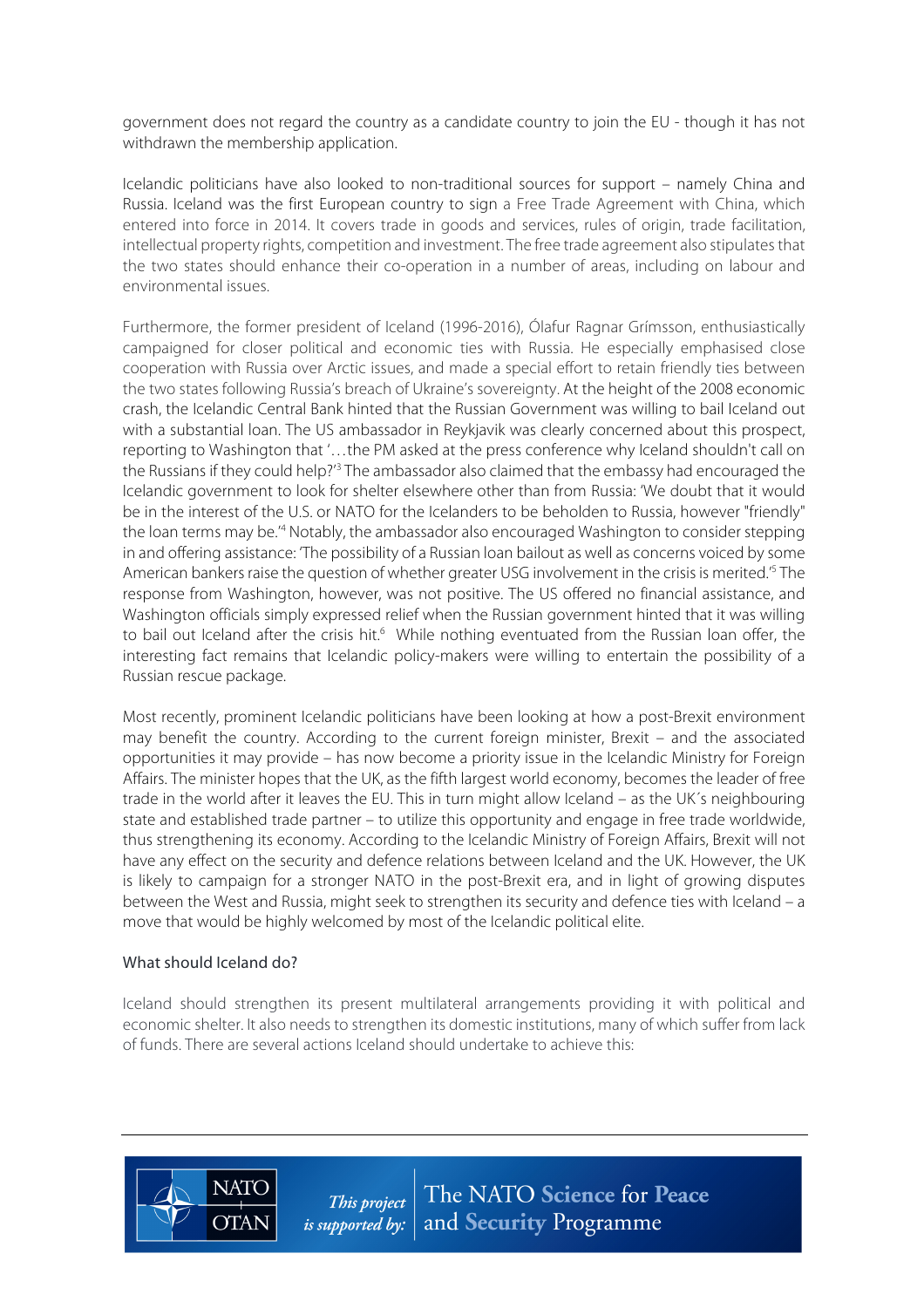government does not regard the country as a candidate country to join the EU - though it has not withdrawn the membership application.

Icelandic politicians have also looked to non-traditional sources for support – namely China and Russia. Iceland was the first European country to sign a Free Trade Agreement with China, which entered into force in 2014. It covers trade in goods and services, rules of origin, trade facilitation, intellectual property rights, competition and investment. The free trade agreement also stipulates that the two states should enhance their co-operation in a number of areas, including on labour and environmental issues.

Furthermore, the former president of Iceland (1996-2016), Ólafur Ragnar Grímsson, enthusiastically campaigned for closer political and economic ties with Russia. He especially emphasised close cooperation with Russia over Arctic issues, and made a special effort to retain friendly ties between the two states following Russia's breach of Ukraine's sovereignty. At the height of the 2008 economic crash, the Icelandic Central Bank hinted that the Russian Government was willing to bail Iceland out with a substantial loan. The US ambassador in Reykjavik was clearly concerned about this prospect, reporting to Washington that '…the PM asked at the press conference why Iceland shouldn't call on the Russians if they could help?<sup>'3</sup> The ambassador also claimed that the embassy had encouraged the Icelandic government to look for shelter elsewhere other than from Russia: 'We doubt that it would be in the interest of the U.S. or NATO for the Icelanders to be beholden to Russia, however "friendly" the loan terms may be.<sup>4</sup> Notably, the ambassador also encouraged Washington to consider stepping in and offering assistance: 'The possibility of a Russian loan bailout as well as concerns voiced by some American bankers raise the question of whether greater USG involvement in the crisis is merited.' <sup>5</sup> The response from Washington, however, was not positive. The US offered no financial assistance, and Washington officials simply expressed relief when the Russian government hinted that it was willing to bail out Iceland after the crisis hit.<sup>6</sup> While nothing eventuated from the Russian loan offer, the interesting fact remains that Icelandic policy-makers were willing to entertain the possibility of a Russian rescue package.

Most recently, prominent Icelandic politicians have been looking at how a post-Brexit environment may benefit the country. According to the current foreign minister, Brexit – and the associated opportunities it may provide – has now become a priority issue in the Icelandic Ministry for Foreign Affairs. The minister hopes that the UK, as the fifth largest world economy, becomes the leader of free trade in the world after it leaves the EU. This in turn might allow Iceland – as the UK´s neighbouring state and established trade partner – to utilize this opportunity and engage in free trade worldwide, thus strengthening its economy. According to the Icelandic Ministry of Foreign Affairs, Brexit will not have any effect on the security and defence relations between Iceland and the UK. However, the UK is likely to campaign for a stronger NATO in the post-Brexit era, and in light of growing disputes between the West and Russia, might seek to strengthen its security and defence ties with Iceland – a move that would be highly welcomed by most of the Icelandic political elite.

## What should Iceland do?

**NATO** 

**OTAN** 

Iceland should strengthen its present multilateral arrangements providing it with political and economic shelter. It also needs to strengthen its domestic institutions, many of which suffer from lack of funds. There are several actions Iceland should undertake to achieve this: